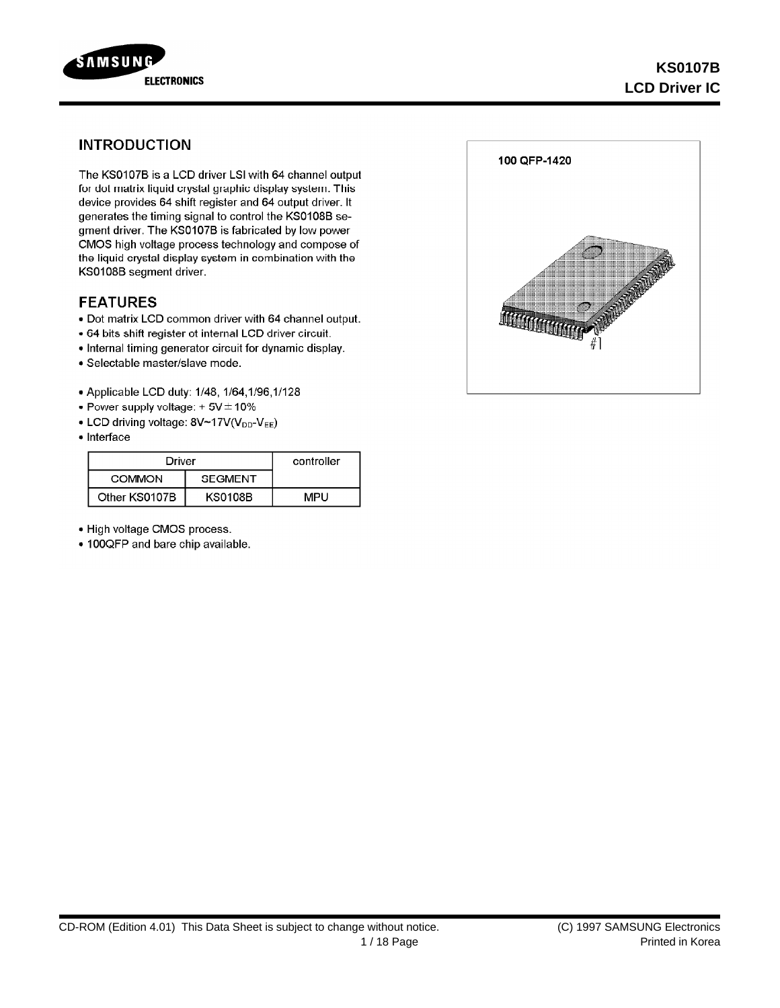

## **INTRODUCTION**

The KS0107B is a LCD driver LSI with 64 channel output for dot matrix liquid crystal graphic display system. This device provides 64 shift register and 64 output driver. It generates the timing signal to control the KS0108B segment driver. The KS0107B is fabricated by low power CMOS high voltage process technology and compose of the liquid crystal display system in combination with the KS0108B segment driver.

### **FEATURES**

- . Dot matrix LCD common driver with 64 channel output.
- 64 bits shift register ot internal LCD driver circuit.
- Internal timing generator circuit for dynamic display.
- · Selectable master/slave mode.
- Applicable LCD duty: 1/48, 1/64, 1/96, 1/128
- Power supply voltage:  $+5V \pm 10\%$
- LCD driving voltage: 8V~17V(V<sub>DD</sub>-V<sub>EE</sub>)
- Interface

| Driver        | controller     |       |
|---------------|----------------|-------|
| COMMON        |                |       |
| Other KS0107B | <b>KS0108B</b> | MPLI. |

- . High voltage CMOS process.
- 100QFP and bare chip available.

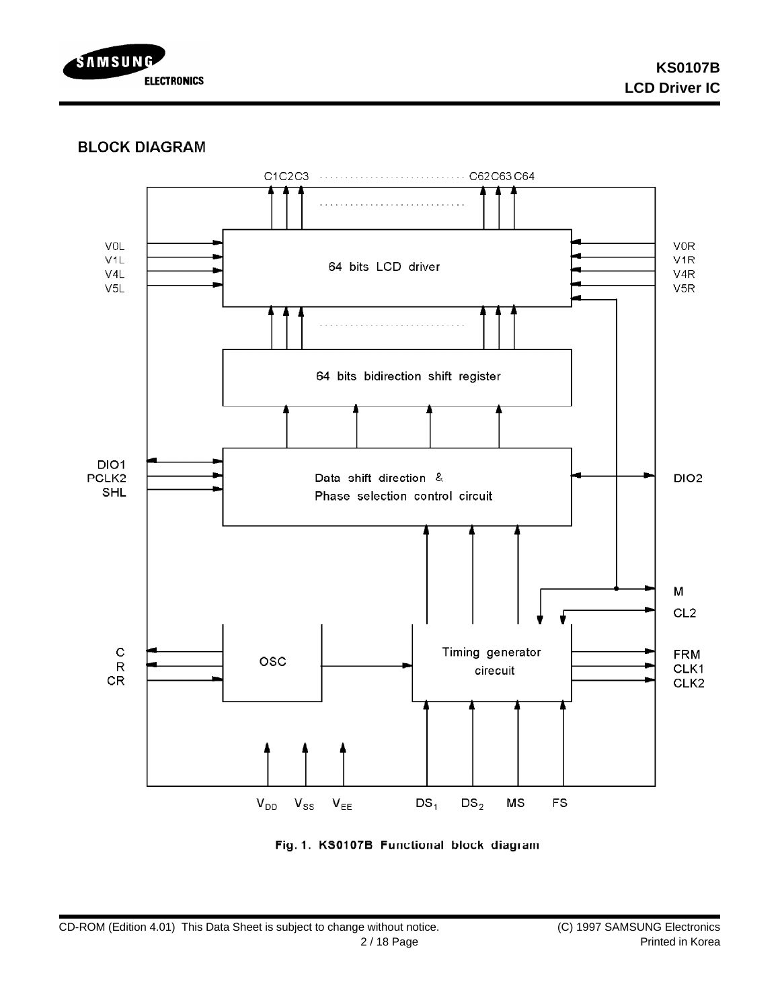

## **BLOCK DIAGRAM**



Fig. 1. KS0107B Functional block diagram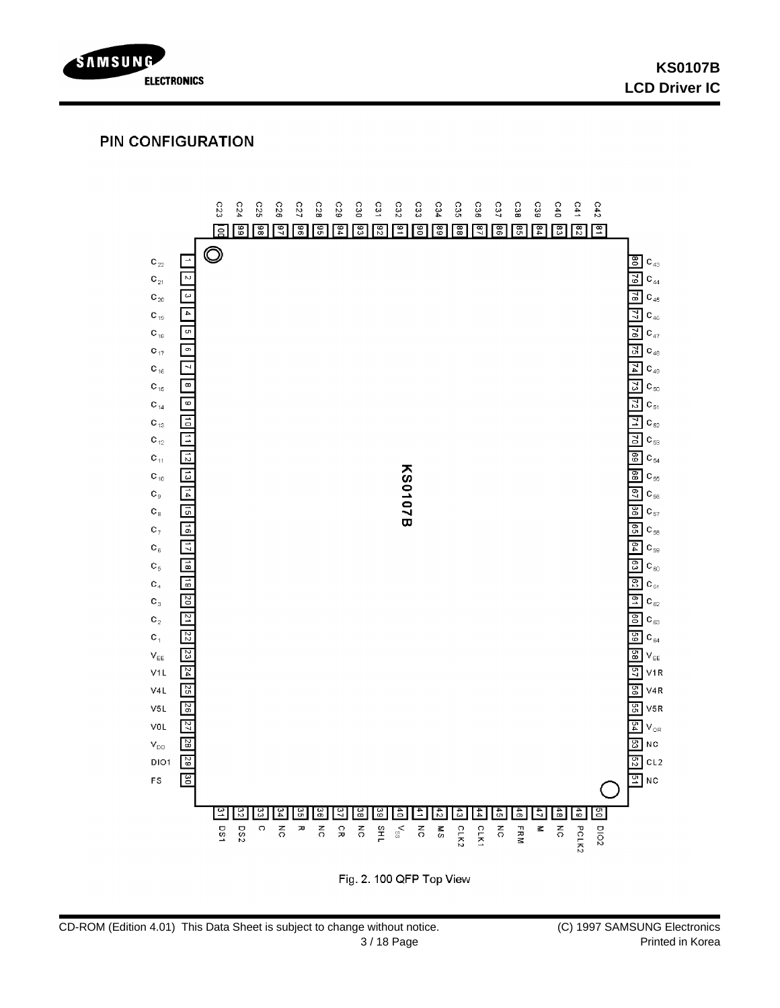

## **PIN CONFIGURATION**



Fig. 2. 100 QFP Top View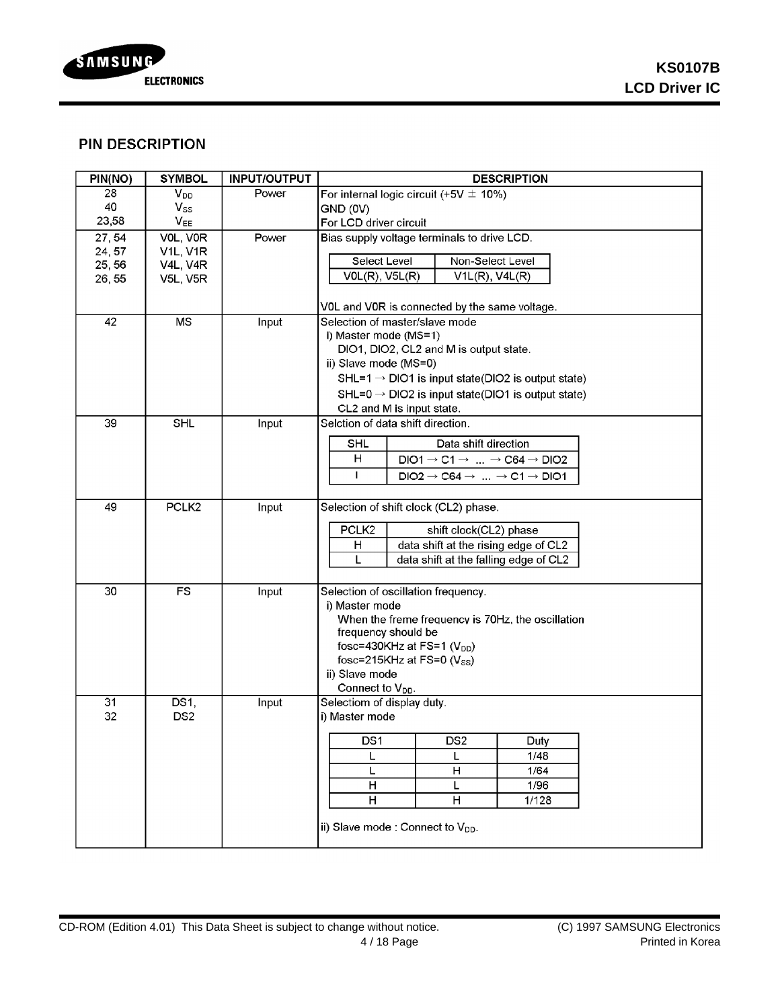

# **PIN DESCRIPTION**

| PIN(NO)          | <b>SYMBOL</b>               | <b>INPUT/OUTPUT</b> | <b>DESCRIPTION</b>                                                       |  |  |
|------------------|-----------------------------|---------------------|--------------------------------------------------------------------------|--|--|
| 28               | V <sub>DD</sub>             | Power               | For internal logic circuit (+5V $\pm$ 10%)                               |  |  |
| 40               | $V_{SS}$                    |                     | GND (0V)                                                                 |  |  |
| 23,58            | $V_{EE}$                    |                     | For LCD driver circuit                                                   |  |  |
| 27,54            | VOL, VOR<br><b>V1L, V1R</b> | Power               | Bias supply voltage terminals to drive LCD.                              |  |  |
| 24, 57<br>25, 56 | <b>V4L, V4R</b>             |                     | Select Level<br>Non-Select Level                                         |  |  |
| 26, 55           | <b>V5L, V5R</b>             |                     | $VOL(R)$ , $V5L(R)$<br>$V1L(R)$ , $V4L(R)$                               |  |  |
|                  |                             |                     |                                                                          |  |  |
|                  |                             |                     | VOL and VOR is connected by the same voltage.                            |  |  |
| 42               | <b>MS</b>                   | Input               | Selection of master/slave mode                                           |  |  |
|                  |                             |                     | i) Master mode (MS=1)                                                    |  |  |
|                  |                             |                     | DIO1, DIO2, CL2 and M is output state.                                   |  |  |
|                  |                             |                     | ii) Slave mode (MS=0)                                                    |  |  |
|                  |                             |                     | $SHL=1 \rightarrow DIO1$ is input state(DIO2 is output state)            |  |  |
|                  |                             |                     | $SHL=0 \rightarrow DIO2$ is input state(DIO1 is output state)            |  |  |
|                  |                             |                     | CL2 and M is input state.                                                |  |  |
| 39               | SHL                         | Input               | Selction of data shift direction.                                        |  |  |
|                  |                             |                     | Data shift direction<br>SHL                                              |  |  |
|                  |                             |                     | н<br>$DIO1 \rightarrow C1 \rightarrow  \rightarrow C64 \rightarrow DIO2$ |  |  |
|                  |                             |                     | L<br>$DIO2 \rightarrow C64 \rightarrow  \rightarrow C1 \rightarrow DIO1$ |  |  |
|                  |                             |                     |                                                                          |  |  |
| 49               | PCLK <sub>2</sub>           | Input               | Selection of shift clock (CL2) phase.                                    |  |  |
|                  |                             |                     | PCLK <sub>2</sub><br>shift clock(CL2) phase                              |  |  |
|                  |                             |                     | data shift at the rising edge of CL2<br>н                                |  |  |
|                  |                             |                     | L<br>data shift at the falling edge of CL2                               |  |  |
|                  |                             |                     |                                                                          |  |  |
| 30               | <b>FS</b>                   | Input               | Selection of oscillation frequency.                                      |  |  |
|                  |                             |                     | i) Master mode                                                           |  |  |
|                  |                             |                     | When the freme frequency is 70Hz, the oscillation                        |  |  |
|                  |                             |                     | frequency should be                                                      |  |  |
|                  |                             |                     | fosc=430KHz at FS=1 $(V_{DD})$                                           |  |  |
|                  |                             |                     | fosc=215KHz at FS=0 $(V_{SS})$                                           |  |  |
|                  |                             |                     | ii) Slave mode                                                           |  |  |
|                  |                             |                     | Connect to $V_{DD}$ .                                                    |  |  |
| 31               | DS1,                        | Input               | Selectiom of display duty.                                               |  |  |
| 32               | DS <sub>2</sub>             |                     | i) Master mode                                                           |  |  |
|                  |                             |                     | DS <sub>1</sub><br>DS <sub>2</sub><br>Dutv                               |  |  |
|                  |                             |                     | 1/48<br>L                                                                |  |  |
|                  |                             |                     | 1/64<br>н<br>L                                                           |  |  |
|                  |                             |                     | H<br>1/96<br>L                                                           |  |  |
|                  |                             |                     | H<br>1/128<br>Н                                                          |  |  |
|                  |                             |                     |                                                                          |  |  |
|                  |                             |                     | ii) Slave mode : Connect to V <sub>DD</sub> .                            |  |  |
|                  |                             |                     |                                                                          |  |  |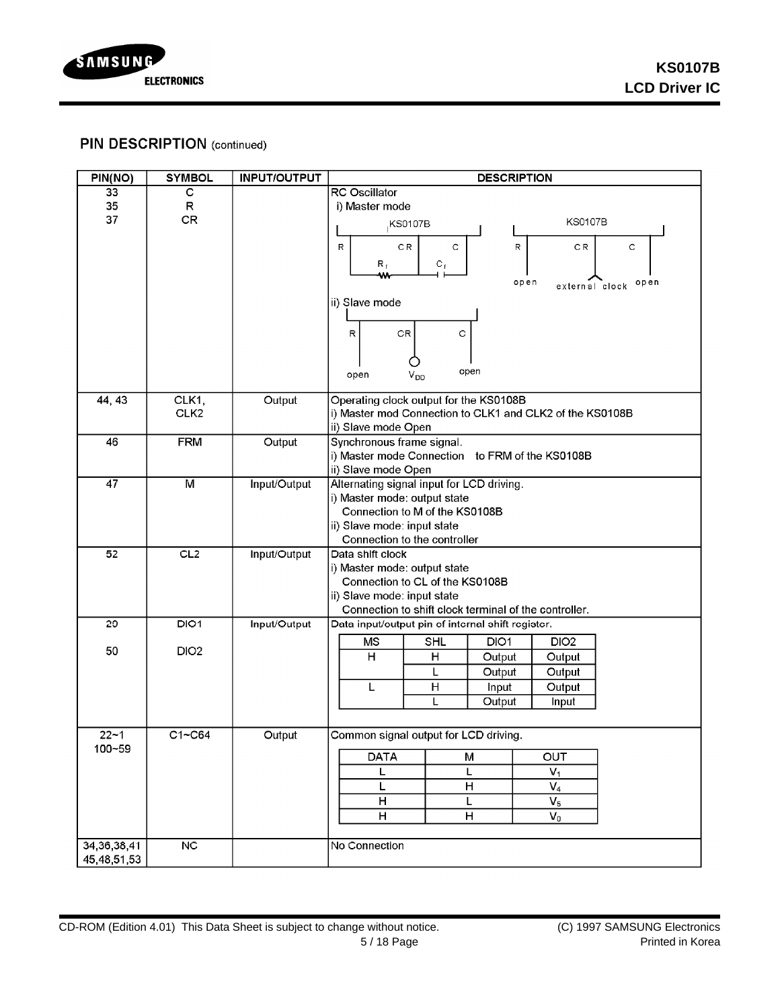

# **PIN DESCRIPTION (continued)**

| <b>RC</b> Oscillator<br>33<br>С<br>35<br>R<br>i) Master mode<br>37<br>CR<br><b>KS0107B</b><br><b>KS0107B</b><br>CR.<br>C<br>R<br>R<br>СR<br>C<br>$R_{f}$<br>$C_{\perp}$<br>w.<br>open<br>open<br>external clock<br>ii) Slave mode<br>$\mathsf{CR}$<br>C<br>R<br>open<br>$V_{DD}$<br>open<br>CLK1,<br>Operating clock output for the KS0108B<br>44, 43<br>Output<br>CLK <sub>2</sub><br>i) Master mod Connection to CLK1 and CLK2 of the KS0108B<br>ii) Slave mode Open<br>46<br>Output<br><b>FRM</b><br>Synchronous frame signal.<br>i) Master mode Connection to FRM of the KS0108B<br>ii) Slave mode Open<br>$\overline{47}$<br>$\overline{M}$<br>Input/Output<br>Alternating signal input for LCD driving.<br>i) Master mode: output state<br>Connection to M of the KS0108B<br>ii) Slave mode: input state<br>Connection to the controller<br>CL2<br>52<br>Input/Output<br>Data shift clock<br>i) Master mode: output state<br>Connection to CL of the KS0108B<br>ii) Slave mode: input state<br>Connection to shift clock terminal of the controller.<br>DIO1<br>29<br>Input/Output<br>Data input/output pin of internal shift register.<br><b>MS</b><br><b>SHL</b><br>DIO1<br>DIO <sub>2</sub><br>50<br>DIO <sub>2</sub><br>н<br>Η<br>Output<br>Output<br>L<br>Output<br>Output<br>$\mathsf{H}$<br>L<br>Input<br>Output<br>L<br>Output<br>Input<br>$C1 - C64$<br>$22 - 1$<br>Output<br>Common signal output for LCD driving.<br>100~59<br><b>DATA</b><br>OUT<br>M<br>$\overline{V_1}$<br>L<br>L<br>$\boldsymbol{\mathsf{H}}$<br>$V_4$<br>L<br>н<br>L<br>$V_5$<br>н<br>H<br>$V_0$<br>$\overline{\text{NC}}$<br>No Connection<br>34, 36, 38, 41 | PIN(NO)     | <b>SYMBOL</b> | <b>INPUT/OUTPUT</b> | <b>DESCRIPTION</b> |  |  |  |
|-----------------------------------------------------------------------------------------------------------------------------------------------------------------------------------------------------------------------------------------------------------------------------------------------------------------------------------------------------------------------------------------------------------------------------------------------------------------------------------------------------------------------------------------------------------------------------------------------------------------------------------------------------------------------------------------------------------------------------------------------------------------------------------------------------------------------------------------------------------------------------------------------------------------------------------------------------------------------------------------------------------------------------------------------------------------------------------------------------------------------------------------------------------------------------------------------------------------------------------------------------------------------------------------------------------------------------------------------------------------------------------------------------------------------------------------------------------------------------------------------------------------------------------------------------------------------------------------------------------------------------------------------------|-------------|---------------|---------------------|--------------------|--|--|--|
|                                                                                                                                                                                                                                                                                                                                                                                                                                                                                                                                                                                                                                                                                                                                                                                                                                                                                                                                                                                                                                                                                                                                                                                                                                                                                                                                                                                                                                                                                                                                                                                                                                                     |             |               |                     |                    |  |  |  |
|                                                                                                                                                                                                                                                                                                                                                                                                                                                                                                                                                                                                                                                                                                                                                                                                                                                                                                                                                                                                                                                                                                                                                                                                                                                                                                                                                                                                                                                                                                                                                                                                                                                     |             |               |                     |                    |  |  |  |
|                                                                                                                                                                                                                                                                                                                                                                                                                                                                                                                                                                                                                                                                                                                                                                                                                                                                                                                                                                                                                                                                                                                                                                                                                                                                                                                                                                                                                                                                                                                                                                                                                                                     |             |               |                     |                    |  |  |  |
|                                                                                                                                                                                                                                                                                                                                                                                                                                                                                                                                                                                                                                                                                                                                                                                                                                                                                                                                                                                                                                                                                                                                                                                                                                                                                                                                                                                                                                                                                                                                                                                                                                                     |             |               |                     |                    |  |  |  |
|                                                                                                                                                                                                                                                                                                                                                                                                                                                                                                                                                                                                                                                                                                                                                                                                                                                                                                                                                                                                                                                                                                                                                                                                                                                                                                                                                                                                                                                                                                                                                                                                                                                     |             |               |                     |                    |  |  |  |
|                                                                                                                                                                                                                                                                                                                                                                                                                                                                                                                                                                                                                                                                                                                                                                                                                                                                                                                                                                                                                                                                                                                                                                                                                                                                                                                                                                                                                                                                                                                                                                                                                                                     |             |               |                     |                    |  |  |  |
|                                                                                                                                                                                                                                                                                                                                                                                                                                                                                                                                                                                                                                                                                                                                                                                                                                                                                                                                                                                                                                                                                                                                                                                                                                                                                                                                                                                                                                                                                                                                                                                                                                                     |             |               |                     |                    |  |  |  |
|                                                                                                                                                                                                                                                                                                                                                                                                                                                                                                                                                                                                                                                                                                                                                                                                                                                                                                                                                                                                                                                                                                                                                                                                                                                                                                                                                                                                                                                                                                                                                                                                                                                     |             |               |                     |                    |  |  |  |
|                                                                                                                                                                                                                                                                                                                                                                                                                                                                                                                                                                                                                                                                                                                                                                                                                                                                                                                                                                                                                                                                                                                                                                                                                                                                                                                                                                                                                                                                                                                                                                                                                                                     |             |               |                     |                    |  |  |  |
|                                                                                                                                                                                                                                                                                                                                                                                                                                                                                                                                                                                                                                                                                                                                                                                                                                                                                                                                                                                                                                                                                                                                                                                                                                                                                                                                                                                                                                                                                                                                                                                                                                                     |             |               |                     |                    |  |  |  |
|                                                                                                                                                                                                                                                                                                                                                                                                                                                                                                                                                                                                                                                                                                                                                                                                                                                                                                                                                                                                                                                                                                                                                                                                                                                                                                                                                                                                                                                                                                                                                                                                                                                     |             |               |                     |                    |  |  |  |
|                                                                                                                                                                                                                                                                                                                                                                                                                                                                                                                                                                                                                                                                                                                                                                                                                                                                                                                                                                                                                                                                                                                                                                                                                                                                                                                                                                                                                                                                                                                                                                                                                                                     |             |               |                     |                    |  |  |  |
|                                                                                                                                                                                                                                                                                                                                                                                                                                                                                                                                                                                                                                                                                                                                                                                                                                                                                                                                                                                                                                                                                                                                                                                                                                                                                                                                                                                                                                                                                                                                                                                                                                                     |             |               |                     |                    |  |  |  |
|                                                                                                                                                                                                                                                                                                                                                                                                                                                                                                                                                                                                                                                                                                                                                                                                                                                                                                                                                                                                                                                                                                                                                                                                                                                                                                                                                                                                                                                                                                                                                                                                                                                     |             |               |                     |                    |  |  |  |
|                                                                                                                                                                                                                                                                                                                                                                                                                                                                                                                                                                                                                                                                                                                                                                                                                                                                                                                                                                                                                                                                                                                                                                                                                                                                                                                                                                                                                                                                                                                                                                                                                                                     |             |               |                     |                    |  |  |  |
|                                                                                                                                                                                                                                                                                                                                                                                                                                                                                                                                                                                                                                                                                                                                                                                                                                                                                                                                                                                                                                                                                                                                                                                                                                                                                                                                                                                                                                                                                                                                                                                                                                                     |             |               |                     |                    |  |  |  |
|                                                                                                                                                                                                                                                                                                                                                                                                                                                                                                                                                                                                                                                                                                                                                                                                                                                                                                                                                                                                                                                                                                                                                                                                                                                                                                                                                                                                                                                                                                                                                                                                                                                     |             |               |                     |                    |  |  |  |
|                                                                                                                                                                                                                                                                                                                                                                                                                                                                                                                                                                                                                                                                                                                                                                                                                                                                                                                                                                                                                                                                                                                                                                                                                                                                                                                                                                                                                                                                                                                                                                                                                                                     |             |               |                     |                    |  |  |  |
|                                                                                                                                                                                                                                                                                                                                                                                                                                                                                                                                                                                                                                                                                                                                                                                                                                                                                                                                                                                                                                                                                                                                                                                                                                                                                                                                                                                                                                                                                                                                                                                                                                                     |             |               |                     |                    |  |  |  |
|                                                                                                                                                                                                                                                                                                                                                                                                                                                                                                                                                                                                                                                                                                                                                                                                                                                                                                                                                                                                                                                                                                                                                                                                                                                                                                                                                                                                                                                                                                                                                                                                                                                     |             |               |                     |                    |  |  |  |
|                                                                                                                                                                                                                                                                                                                                                                                                                                                                                                                                                                                                                                                                                                                                                                                                                                                                                                                                                                                                                                                                                                                                                                                                                                                                                                                                                                                                                                                                                                                                                                                                                                                     |             |               |                     |                    |  |  |  |
|                                                                                                                                                                                                                                                                                                                                                                                                                                                                                                                                                                                                                                                                                                                                                                                                                                                                                                                                                                                                                                                                                                                                                                                                                                                                                                                                                                                                                                                                                                                                                                                                                                                     |             |               |                     |                    |  |  |  |
|                                                                                                                                                                                                                                                                                                                                                                                                                                                                                                                                                                                                                                                                                                                                                                                                                                                                                                                                                                                                                                                                                                                                                                                                                                                                                                                                                                                                                                                                                                                                                                                                                                                     |             |               |                     |                    |  |  |  |
|                                                                                                                                                                                                                                                                                                                                                                                                                                                                                                                                                                                                                                                                                                                                                                                                                                                                                                                                                                                                                                                                                                                                                                                                                                                                                                                                                                                                                                                                                                                                                                                                                                                     |             |               |                     |                    |  |  |  |
|                                                                                                                                                                                                                                                                                                                                                                                                                                                                                                                                                                                                                                                                                                                                                                                                                                                                                                                                                                                                                                                                                                                                                                                                                                                                                                                                                                                                                                                                                                                                                                                                                                                     |             |               |                     |                    |  |  |  |
|                                                                                                                                                                                                                                                                                                                                                                                                                                                                                                                                                                                                                                                                                                                                                                                                                                                                                                                                                                                                                                                                                                                                                                                                                                                                                                                                                                                                                                                                                                                                                                                                                                                     |             |               |                     |                    |  |  |  |
|                                                                                                                                                                                                                                                                                                                                                                                                                                                                                                                                                                                                                                                                                                                                                                                                                                                                                                                                                                                                                                                                                                                                                                                                                                                                                                                                                                                                                                                                                                                                                                                                                                                     |             |               |                     |                    |  |  |  |
|                                                                                                                                                                                                                                                                                                                                                                                                                                                                                                                                                                                                                                                                                                                                                                                                                                                                                                                                                                                                                                                                                                                                                                                                                                                                                                                                                                                                                                                                                                                                                                                                                                                     |             |               |                     |                    |  |  |  |
|                                                                                                                                                                                                                                                                                                                                                                                                                                                                                                                                                                                                                                                                                                                                                                                                                                                                                                                                                                                                                                                                                                                                                                                                                                                                                                                                                                                                                                                                                                                                                                                                                                                     |             |               |                     |                    |  |  |  |
|                                                                                                                                                                                                                                                                                                                                                                                                                                                                                                                                                                                                                                                                                                                                                                                                                                                                                                                                                                                                                                                                                                                                                                                                                                                                                                                                                                                                                                                                                                                                                                                                                                                     |             |               |                     |                    |  |  |  |
|                                                                                                                                                                                                                                                                                                                                                                                                                                                                                                                                                                                                                                                                                                                                                                                                                                                                                                                                                                                                                                                                                                                                                                                                                                                                                                                                                                                                                                                                                                                                                                                                                                                     |             |               |                     |                    |  |  |  |
|                                                                                                                                                                                                                                                                                                                                                                                                                                                                                                                                                                                                                                                                                                                                                                                                                                                                                                                                                                                                                                                                                                                                                                                                                                                                                                                                                                                                                                                                                                                                                                                                                                                     |             |               |                     |                    |  |  |  |
|                                                                                                                                                                                                                                                                                                                                                                                                                                                                                                                                                                                                                                                                                                                                                                                                                                                                                                                                                                                                                                                                                                                                                                                                                                                                                                                                                                                                                                                                                                                                                                                                                                                     |             |               |                     |                    |  |  |  |
|                                                                                                                                                                                                                                                                                                                                                                                                                                                                                                                                                                                                                                                                                                                                                                                                                                                                                                                                                                                                                                                                                                                                                                                                                                                                                                                                                                                                                                                                                                                                                                                                                                                     |             |               |                     |                    |  |  |  |
|                                                                                                                                                                                                                                                                                                                                                                                                                                                                                                                                                                                                                                                                                                                                                                                                                                                                                                                                                                                                                                                                                                                                                                                                                                                                                                                                                                                                                                                                                                                                                                                                                                                     |             |               |                     |                    |  |  |  |
|                                                                                                                                                                                                                                                                                                                                                                                                                                                                                                                                                                                                                                                                                                                                                                                                                                                                                                                                                                                                                                                                                                                                                                                                                                                                                                                                                                                                                                                                                                                                                                                                                                                     |             |               |                     |                    |  |  |  |
|                                                                                                                                                                                                                                                                                                                                                                                                                                                                                                                                                                                                                                                                                                                                                                                                                                                                                                                                                                                                                                                                                                                                                                                                                                                                                                                                                                                                                                                                                                                                                                                                                                                     |             |               |                     |                    |  |  |  |
|                                                                                                                                                                                                                                                                                                                                                                                                                                                                                                                                                                                                                                                                                                                                                                                                                                                                                                                                                                                                                                                                                                                                                                                                                                                                                                                                                                                                                                                                                                                                                                                                                                                     |             |               |                     |                    |  |  |  |
|                                                                                                                                                                                                                                                                                                                                                                                                                                                                                                                                                                                                                                                                                                                                                                                                                                                                                                                                                                                                                                                                                                                                                                                                                                                                                                                                                                                                                                                                                                                                                                                                                                                     |             |               |                     |                    |  |  |  |
|                                                                                                                                                                                                                                                                                                                                                                                                                                                                                                                                                                                                                                                                                                                                                                                                                                                                                                                                                                                                                                                                                                                                                                                                                                                                                                                                                                                                                                                                                                                                                                                                                                                     |             |               |                     |                    |  |  |  |
|                                                                                                                                                                                                                                                                                                                                                                                                                                                                                                                                                                                                                                                                                                                                                                                                                                                                                                                                                                                                                                                                                                                                                                                                                                                                                                                                                                                                                                                                                                                                                                                                                                                     |             |               |                     |                    |  |  |  |
|                                                                                                                                                                                                                                                                                                                                                                                                                                                                                                                                                                                                                                                                                                                                                                                                                                                                                                                                                                                                                                                                                                                                                                                                                                                                                                                                                                                                                                                                                                                                                                                                                                                     |             |               |                     |                    |  |  |  |
|                                                                                                                                                                                                                                                                                                                                                                                                                                                                                                                                                                                                                                                                                                                                                                                                                                                                                                                                                                                                                                                                                                                                                                                                                                                                                                                                                                                                                                                                                                                                                                                                                                                     |             |               |                     |                    |  |  |  |
|                                                                                                                                                                                                                                                                                                                                                                                                                                                                                                                                                                                                                                                                                                                                                                                                                                                                                                                                                                                                                                                                                                                                                                                                                                                                                                                                                                                                                                                                                                                                                                                                                                                     |             |               |                     |                    |  |  |  |
|                                                                                                                                                                                                                                                                                                                                                                                                                                                                                                                                                                                                                                                                                                                                                                                                                                                                                                                                                                                                                                                                                                                                                                                                                                                                                                                                                                                                                                                                                                                                                                                                                                                     |             |               |                     |                    |  |  |  |
|                                                                                                                                                                                                                                                                                                                                                                                                                                                                                                                                                                                                                                                                                                                                                                                                                                                                                                                                                                                                                                                                                                                                                                                                                                                                                                                                                                                                                                                                                                                                                                                                                                                     |             |               |                     |                    |  |  |  |
|                                                                                                                                                                                                                                                                                                                                                                                                                                                                                                                                                                                                                                                                                                                                                                                                                                                                                                                                                                                                                                                                                                                                                                                                                                                                                                                                                                                                                                                                                                                                                                                                                                                     | 45,48,51,53 |               |                     |                    |  |  |  |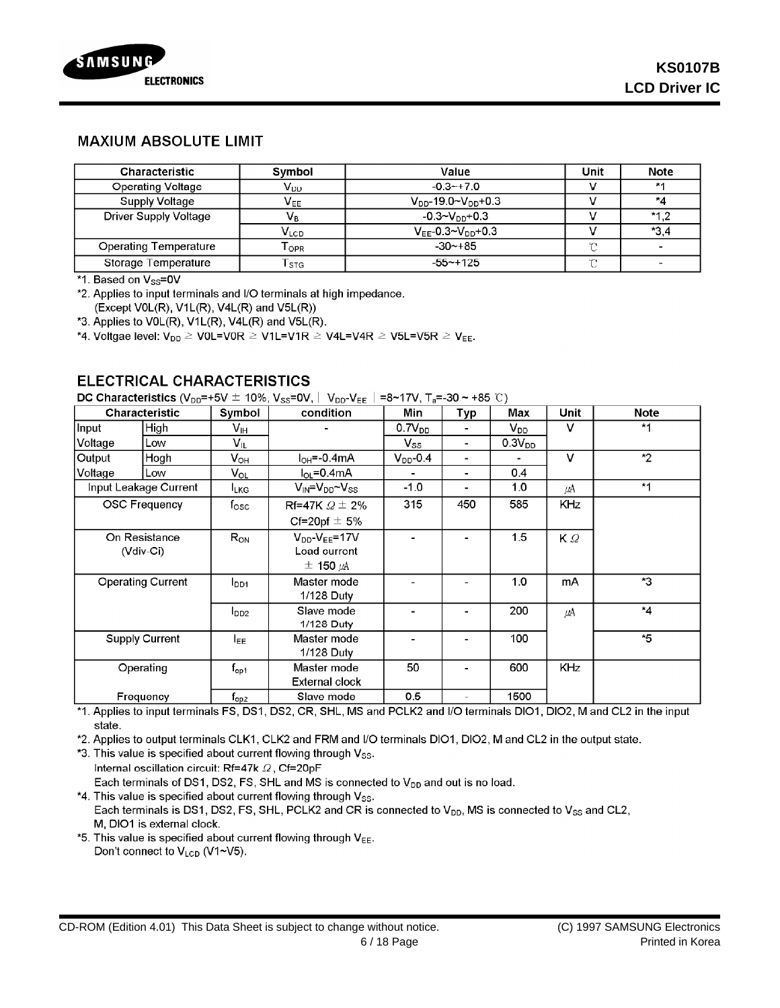

### **MAXIUM ABSOLUTE LIMIT**

| <b>Characteristic</b> | Symbol                      | Value                         | Unit   | <b>Note</b> |
|-----------------------|-----------------------------|-------------------------------|--------|-------------|
| Operating Voltage     | $\mathsf{V}_{\mathsf{DD}}$  | $-0.3 - +7.0$                 |        | $*1$        |
| Supply Voltage        | $\mathsf{V}_{\mathsf{EE}}$  | $V_{DD}$ -19.0~ $V_{DD}$ +0.3 |        | *4          |
| Driver Supply Voltage | Vg                          | $-0.3 - V_{DD} + 0.3$         |        | $*1.2$      |
|                       | $V_{LCD}$                   | $V_{FF}$ -0.3~ $V_{DD}$ +0.3  |        | $*3.4$      |
| Operating Temperature | $\mathsf{T}_{\mathsf{OPR}}$ | $-30 - +85$                   | m      |             |
| Storage Temperature   | $\mathsf{r}_\mathsf{STG}$   | $-55 - +125$                  | $\sim$ |             |

\*1. Based on Vss=0V

\*2. Applies to input terminals and I/O terminals at high impedance. (Except V0L(R), V1L(R), V4L(R) and V5L(R))

\*3. Applies to V0L(R), V1L(R), V4L(R) and V5L(R).

\*4. Voltgae level:  $V_{DD} \geq \text{V0L=V0R} \geq \text{V1L=V1R} \geq \text{V4L=V4R} \geq \text{V5L=V5R} \geq V_{EE}$ .

### **ELECTRICAL CHARACTERISTICS**

**DC Characteristics** (V<sub>DD</sub>=+5V ± 10%, V<sub>SS</sub>=0V, | V<sub>DD</sub>-V<sub>EE</sub> | =8∼17V, T<sub>a</sub>=-30 ~ +85 ℃)

| Characteristic |                            | Symbol                     | condition                                                     | Min                | Typ | Max         | <b>Unit</b> | <b>Note</b> |
|----------------|----------------------------|----------------------------|---------------------------------------------------------------|--------------------|-----|-------------|-------------|-------------|
| Input          | High                       | V <sub>IH</sub>            |                                                               | 0.7V <sub>DD</sub> |     | $V_{DD}$    | v           | $*1$        |
| Voltage        | Low                        | $\mathsf{V}_{\mathsf{IL}}$ |                                                               | $V_{SS}$           | ٠   | $0.3V_{DD}$ |             |             |
| Output         | Hogh                       | $V_{OH}$                   | $I_{OH} = -0.4$ mA                                            | $V_{DD}$ -0.4      |     |             | v           | $*2$        |
| Voltage        | Low                        | $V_{OL}$                   | $I_{OL} = 0.4$ mA                                             |                    |     | 0.4         |             |             |
|                | Input Leakage Current      | <b>LKG</b>                 | $V_{\text{IN}} = V_{\text{DD}} - V_{\text{SS}}$               | -1.0               |     | 1.0         | μA          | $*1$        |
|                | <b>OSC Frequency</b>       | fosc                       | Rf=47K $\Omega \pm 2\%$<br>Cf=20pf $\pm$ 5%                   | 315                | 450 | 585         | <b>KHz</b>  |             |
|                | On Resistance<br>(Vdiv-Ci) | $R_{ON}$                   | $V_{DD}$ - $V_{EE}$ =17V<br>Load current<br>$\pm$ 150 $\mu$ A |                    |     | 1.5         | $K \Omega$  |             |
|                | <b>Operating Current</b>   | $I_{DD1}$                  | Master mode<br>1/128 Duty                                     |                    |     | 1.0         | mA          | *3          |
|                |                            | $I_{DD2}$                  | Slave mode<br>1/128 Duty                                      |                    |     | 200         | μA          | $*_{4}$     |
|                | <b>Supply Current</b>      | l <sub>EE</sub>            | Master mode<br>1/128 Duty                                     |                    |     | 100         |             | *5          |
|                | Operating                  | $f_{\text{op1}}$           | Master mode<br>External clock                                 | 50                 |     | 600         | KHz         |             |
|                | Frequency                  | $f_{\text{max}}$           | Slave mode                                                    | 0.5                |     | 1500        |             |             |

\*1. Applies to input terminals FS, DS1, DS2, CR, SHL, MS and PCLK2 and I/O terminals DIO1, DIO2, M and CL2 in the input state.

\*2. Applies to output terminals CLK1, CLK2 and FRM and I/O terminals DIO1, DIO2, M and CL2 in the output state.

\*3. This value is specified about current flowing through Vss. Internal oscillation circuit: Rf=47k 2, Cf=20pF Each terminals of DS1, DS2, FS, SHL and MS is connected to  $V_{DD}$  and out is no load.

\*4. This value is specified about current flowing through Vss. Each terminals is DS1, DS2, FS, SHL, PCLK2 and CR is connected to V<sub>DD</sub>, MS is connected to V<sub>SS</sub> and CL2, M, DIO1 is external clock.

\*5. This value is specified about current flowing through VEE. Don't connect to V<sub>LCD</sub> (V1~V5).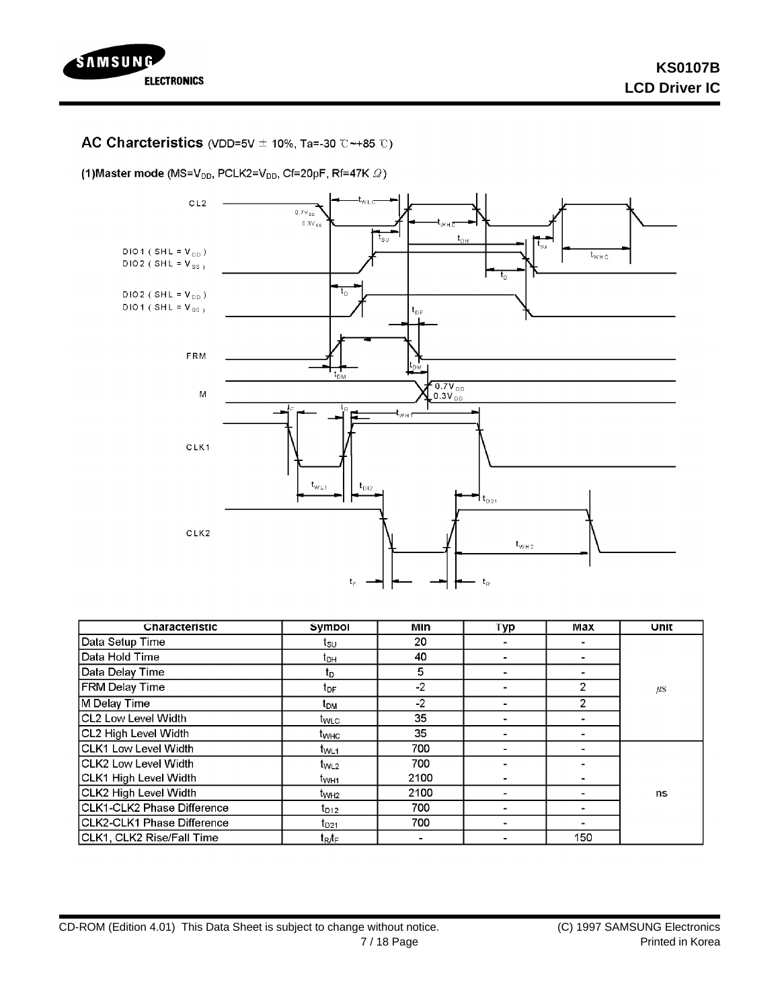

### AC Charcteristics (VDD=5V  $\pm$  10%, Ta=-30 °C ~+85 °C)

(1) Master mode (MS=V<sub>DD</sub>, PCLK2=V<sub>DD</sub>, Cf=20pF, Rf=47K  $\varOmega$ )



| Characteristic               | Symbol           | Min  | <b>Typ</b> | Max            | Unit    |
|------------------------------|------------------|------|------------|----------------|---------|
| Data Setup Time              | tsu              | 20   |            |                |         |
| Data Hold Time               | t <sub>DH</sub>  | 40   |            |                |         |
| Data Delay Time              | t <sub>D</sub>   | 5    |            |                |         |
| <b>FRM Delay Time</b>        | t <sub>DF</sub>  | $-2$ |            | 2              | $\mu$ s |
| M Delay Time                 | t <sub>DM</sub>  | $-2$ |            | $\overline{2}$ |         |
| CL2 Low Level Width          | twLc             | 35   |            |                |         |
| CL2 High Level Width         | t <sub>wнс</sub> | 35   |            |                |         |
| CLK1 Low Level Width         | t <sub>WL1</sub> | 700  |            |                |         |
| CLK2 Low Level Width         | $t_{WL2}$        | 700  |            |                |         |
| <b>CLK1 High Level Width</b> | t <sub>WH1</sub> | 2100 |            |                |         |
| CLK2 High Level Width        | t <sub>WH2</sub> | 2100 |            |                | ns      |
| CLK1-CLK2 Phase Difference   | $t_{D12}$        | 700  |            |                |         |
| CLK2-CLK1 Phase Difference   | $t_{D21}$        | 700  |            |                |         |
| CLK1, CLK2 Rise/Fall Time    | tr∕r             |      |            | 150            |         |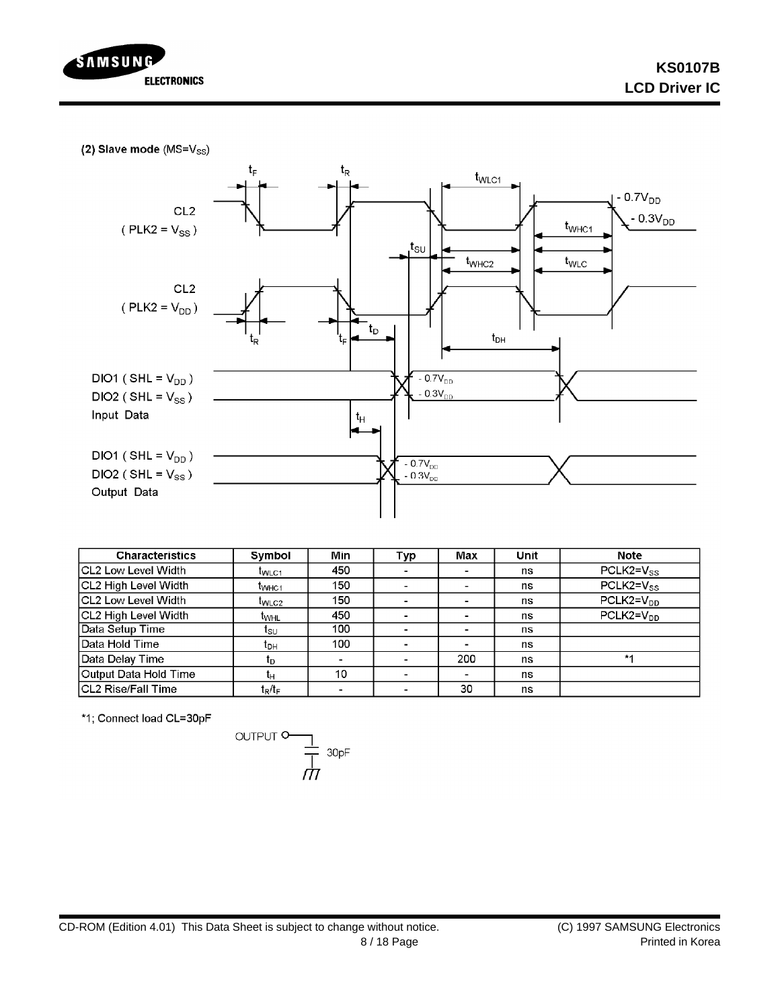

(2) Slave mode (MS=Vss)



| Characteristics            | Symbol            | <b>Min</b>               | Typ                      | Max            | Unit | <b>Note</b>    |
|----------------------------|-------------------|--------------------------|--------------------------|----------------|------|----------------|
| ICL2 Low Level Width       | <b>I</b> WLC1     | 450                      | ۰                        |                | ns   | $PCLK2=V_{SS}$ |
| CL2 High Level Width       | t <sub>WHC1</sub> | 150                      | -                        |                | ns   | $PCLK2=V_{SS}$ |
| ICL2 Low Level Width       | t <sub>WLC2</sub> | 150                      | $\blacksquare$           | -              | ns   | $PCLK2=V_{DD}$ |
| ICL2 High Level Width      | t <sub>whl</sub>  | 450                      | $\blacksquare$           | $\blacksquare$ | ns   | $PCLK2=VDP$    |
| Data Setup Time            | 1s∪               | 100                      |                          | ۰              | ns   |                |
| Data Hold Time             | tон               | 100                      | $\blacksquare$           | $\blacksquare$ | ns   |                |
| Data Delay Time            | Ιŋ                | $\overline{\phantom{0}}$ |                          | 200            | ns   | $*1$           |
| Output Data Hold Time      | ч                 | 10                       | $\blacksquare$           | -              | ns   |                |
| <b>ICL2 Rise/Fall Time</b> | $t_R/t_F$         | ۰                        | $\overline{\phantom{a}}$ | 30             | ns   |                |

\*1; Connect load CL=30pF

$$
\overbrace{\hspace{15cm}}^{\text{OUTPUT}} \overbrace{\hspace{15cm}}^{\text{1}} \overbrace{\hspace{15cm}}^{\text{30pF}}
$$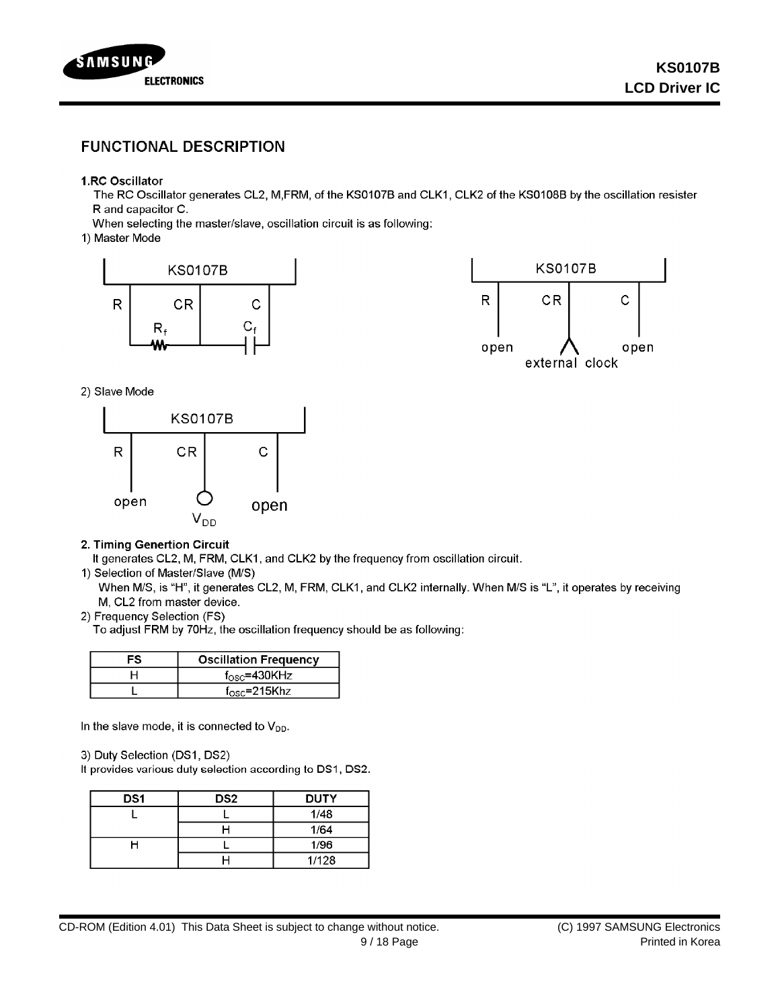

## **FUNCTIONAL DESCRIPTION**

### 1.RC Oscillator

The RC Oscillator generates CL2, M,FRM, of the KS0107B and CLK1, CLK2 of the KS0108B by the oscillation resister R and capacitor C.

When selecting the master/slave, oscillation circuit is as following:

1) Master Mode





2) Slave Mode



### 2. Timing Genertion Circuit

It generates CL2, M, FRM, CLK1, and CLK2 by the frequency from oscillation circuit.

#### 1) Selection of Master/Slave (M/S)

When M/S, is "H", it generates CL2, M, FRM, CLK1, and CLK2 internally. When M/S is "L", it operates by receiving M, CL2 from master device.

### 2) Frequency Selection (FS)

To adjust FRM by 70Hz, the oscillation frequency should be as following:

| FS | <b>Oscillation Frequency</b> |
|----|------------------------------|
|    | $f_{\rm osc}$ =430KHz        |
|    | $f_{\rm osc}$ =215Khz        |

In the slave mode, it is connected to  $V_{DD}$ .

3) Duty Selection (DS1, DS2)

It provides various duty selection according to DS1, DS2.

| DS <sub>1</sub> | DS <sub>2</sub> | <b>DUTY</b> |
|-----------------|-----------------|-------------|
|                 |                 | 1/48        |
|                 |                 | 1/64        |
|                 |                 | 1/96        |
|                 |                 | 1/128       |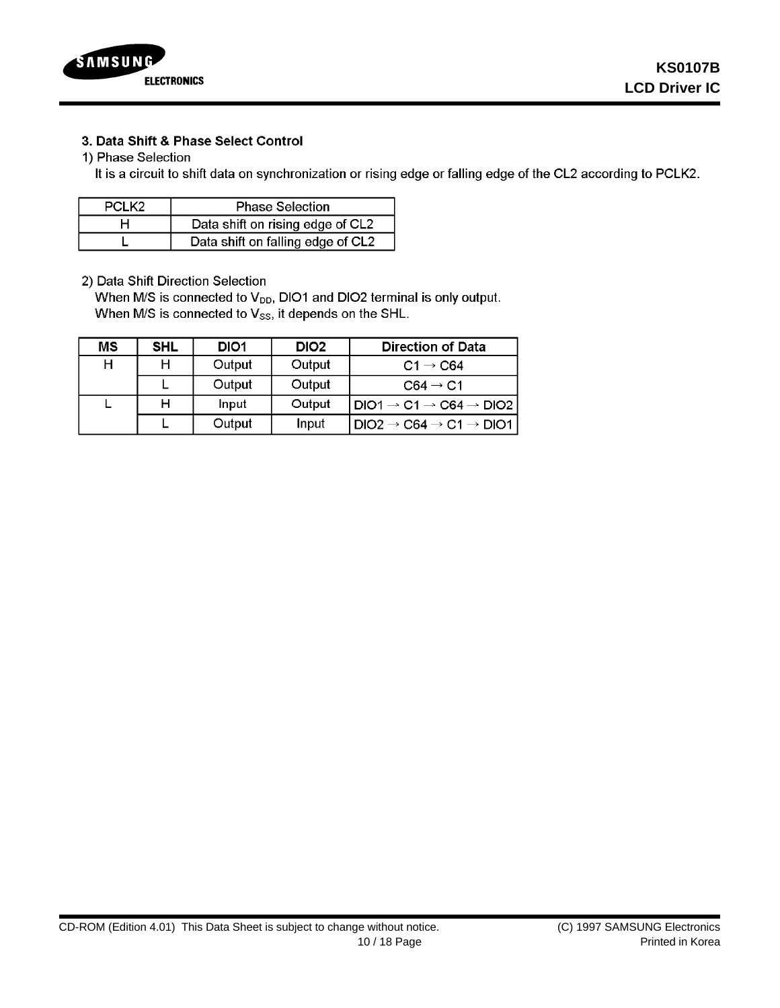

### 3. Data Shift & Phase Select Control

### 1) Phase Selection

It is a circuit to shift data on synchronization or rising edge or falling edge of the CL2 according to PCLK2.

| PCLK <sub>2</sub> | <b>Phase Selection</b>            |
|-------------------|-----------------------------------|
|                   | Data shift on rising edge of CL2  |
|                   | Data shift on falling edge of CL2 |

2) Data Shift Direction Selection

When M/S is connected to V<sub>DD</sub>, DIO1 and DIO2 terminal is only output. When M/S is connected to Vss, it depends on the SHL.

| ΜS | SHL | DIO1   | DIO <sub>2</sub> | <b>Direction of Data</b>                                                                          |
|----|-----|--------|------------------|---------------------------------------------------------------------------------------------------|
| H  |     | Output | Output           | $C1 \rightarrow C64$                                                                              |
|    |     | Output | Output           | $C64 \rightarrow C1$                                                                              |
|    |     | Input  | Output           | $\mathsf{1DIO1}\rightarrow\mathsf{C1}\rightarrow\mathsf{C64}\rightarrow\mathsf{DIO2}\,\mathsf{P}$ |
|    |     | Output | Input            | $DIO2 \rightarrow C64 \rightarrow C1 \rightarrow DIO1$                                            |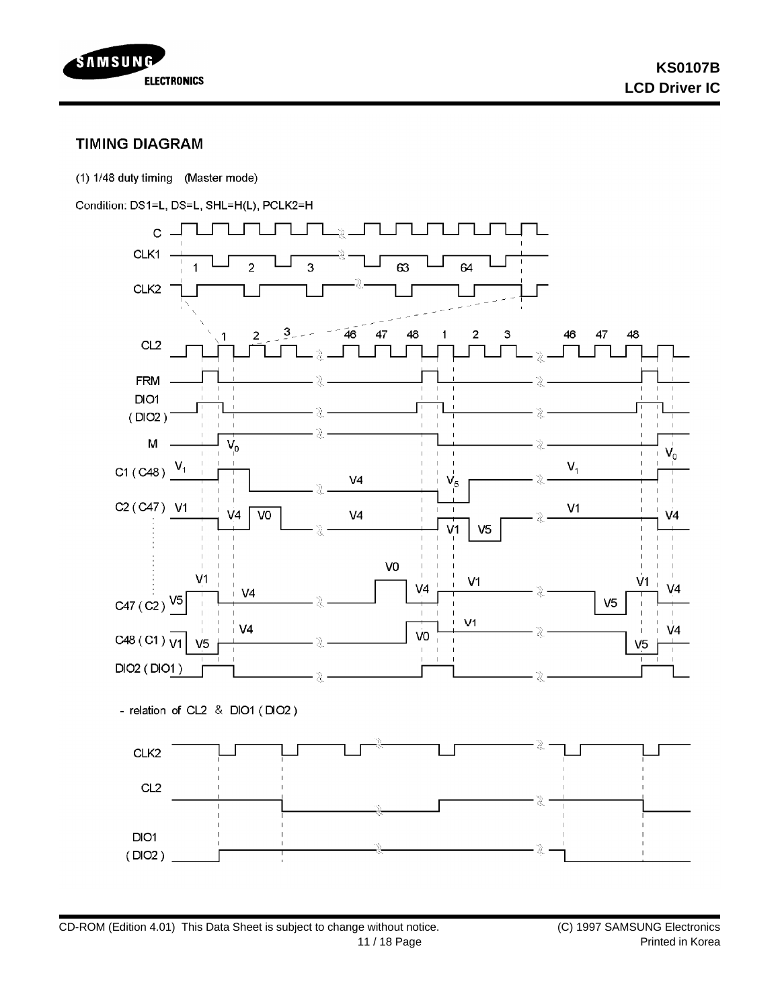

## **TIMING DIAGRAM**

(1) 1/48 duty timing (Master mode)

Condition: DS1=L, DS=L, SHL=H(L), PCLK2=H

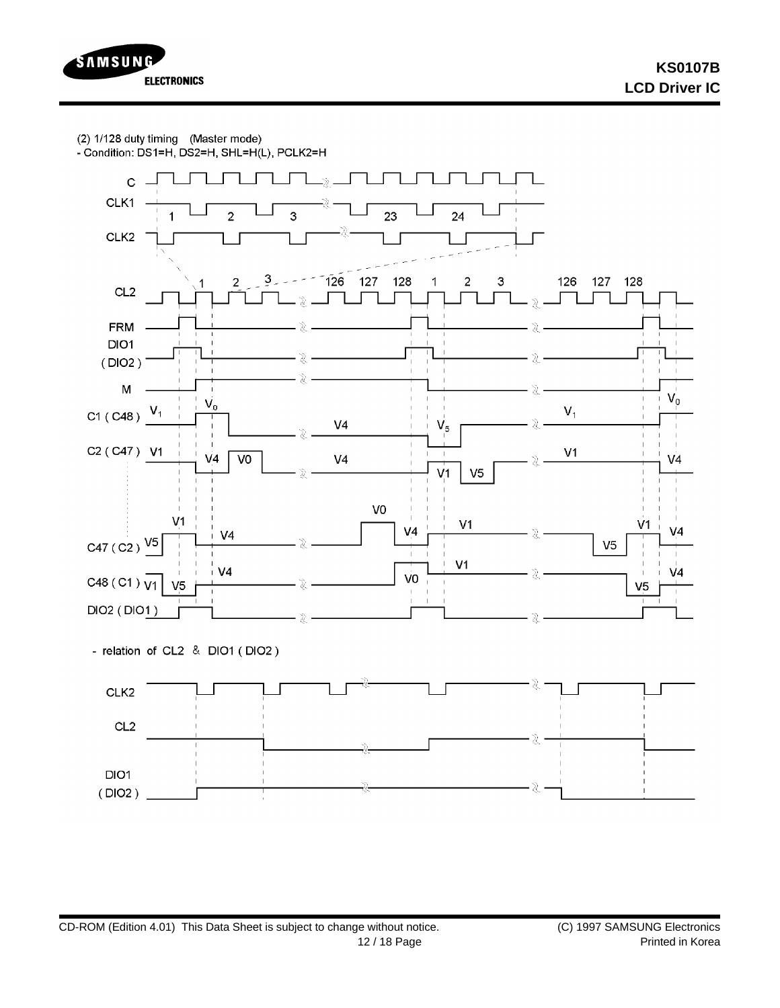(2) 1/128 duty timing (Master mode)

- Condition: DS1=H, DS2=H, SHL=H(L), PCLK2=H

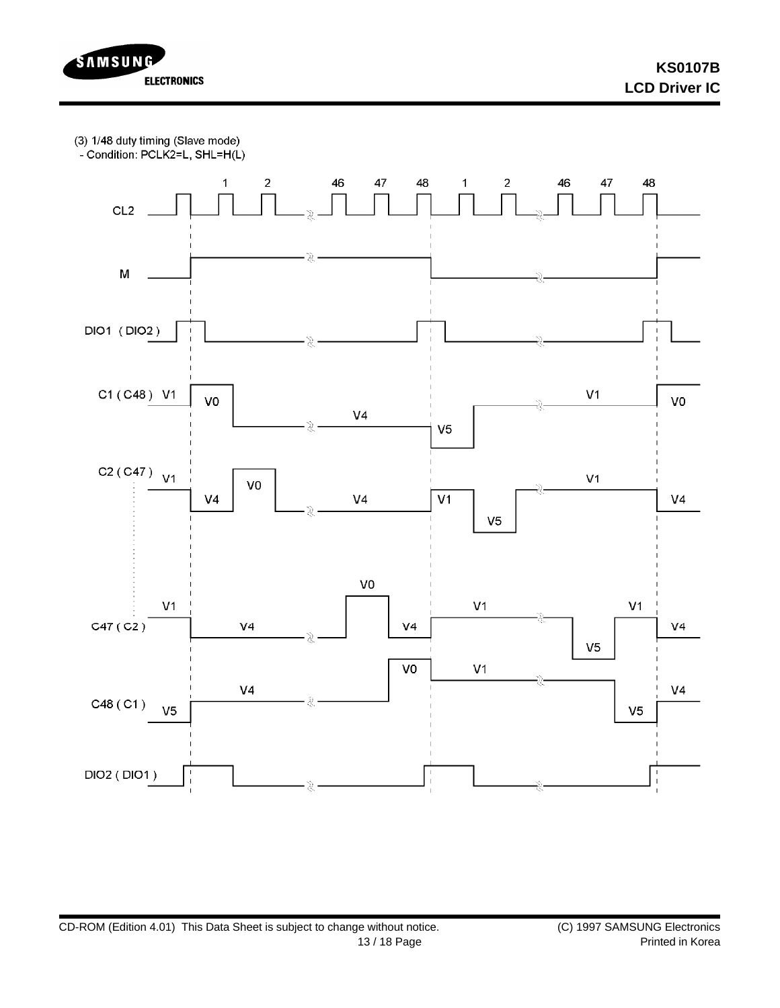

**KS0107B LCD Driver IC**

(3) 1/48 duty timing (Slave mode)

- Condition: PCLK2=L, SHL=H(L)

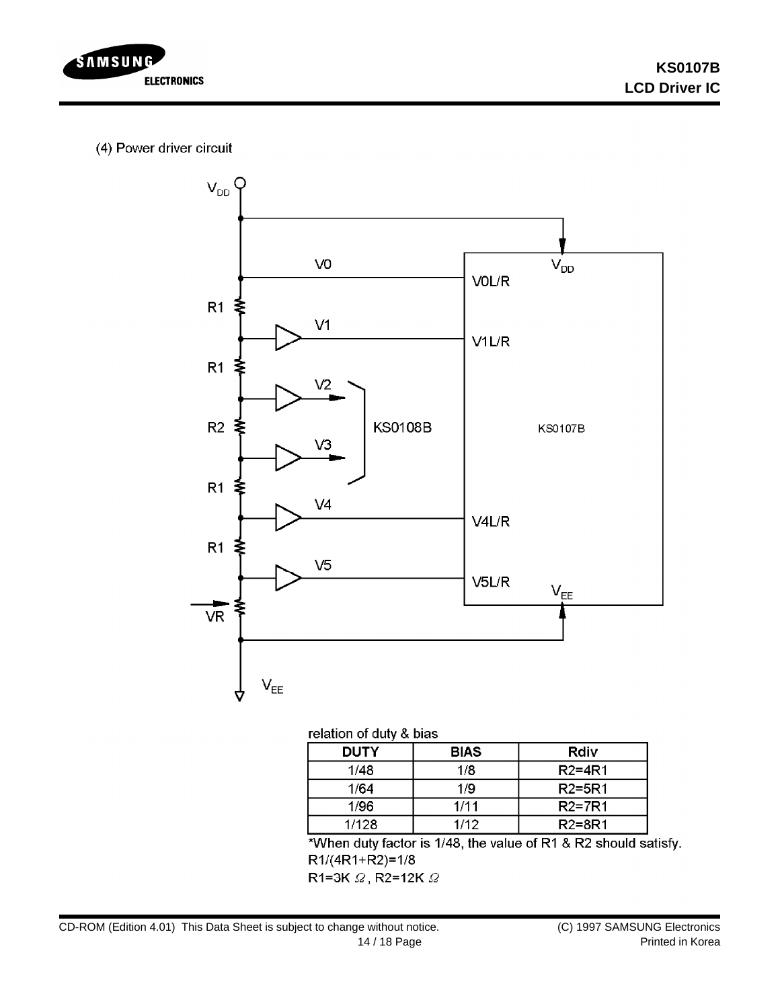

# (4) Power driver circuit



### relation of duty & bias

| <b>DUTY</b> | <b>BIAS</b> | Rdiv       |
|-------------|-------------|------------|
| 1/48        | 1/8         | $R2 = 4R1$ |
| 1/64        | 1/9         | $R2 = 5R1$ |
| 1/96        | 1/11        | $R2=7R1$   |
| 1/128       | 1/12        | R2=8R1     |

\*When duty factor is 1/48, the value of R1 & R2 should satisfy.  $R1/(4R1+R2)=1/8$ 

R1=3K  $\varOmega$ , R2=12K  $\varOmega$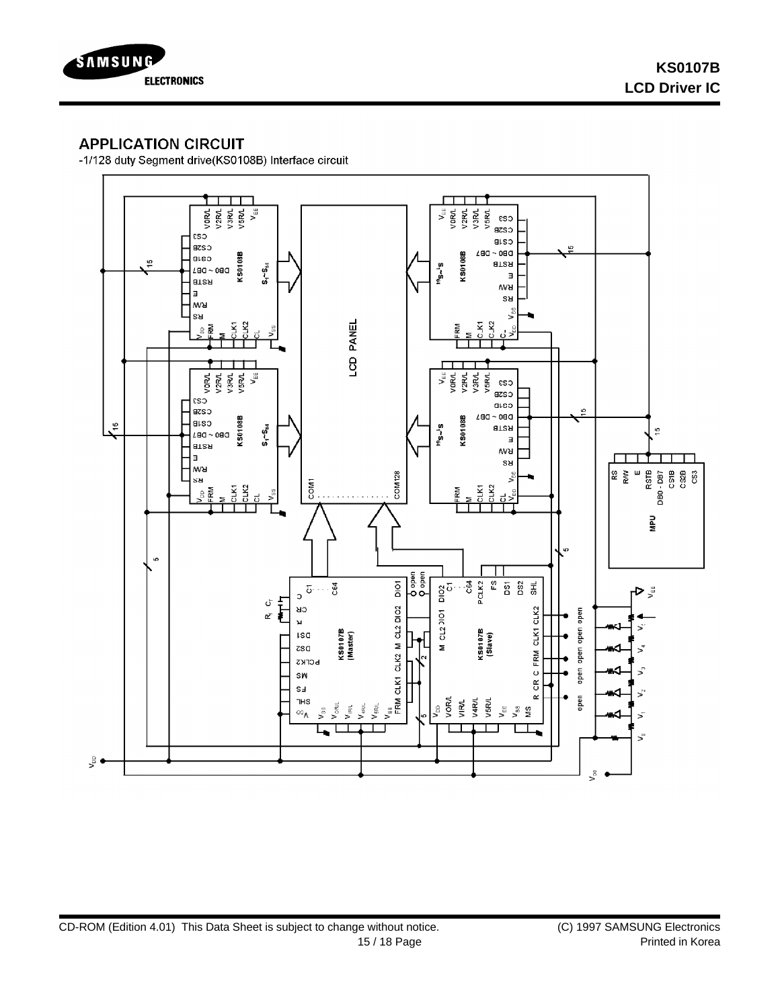

# **APPLICATION CIRCUIT**

-1/128 duty Segment drive(KS0108B) Interface circuit

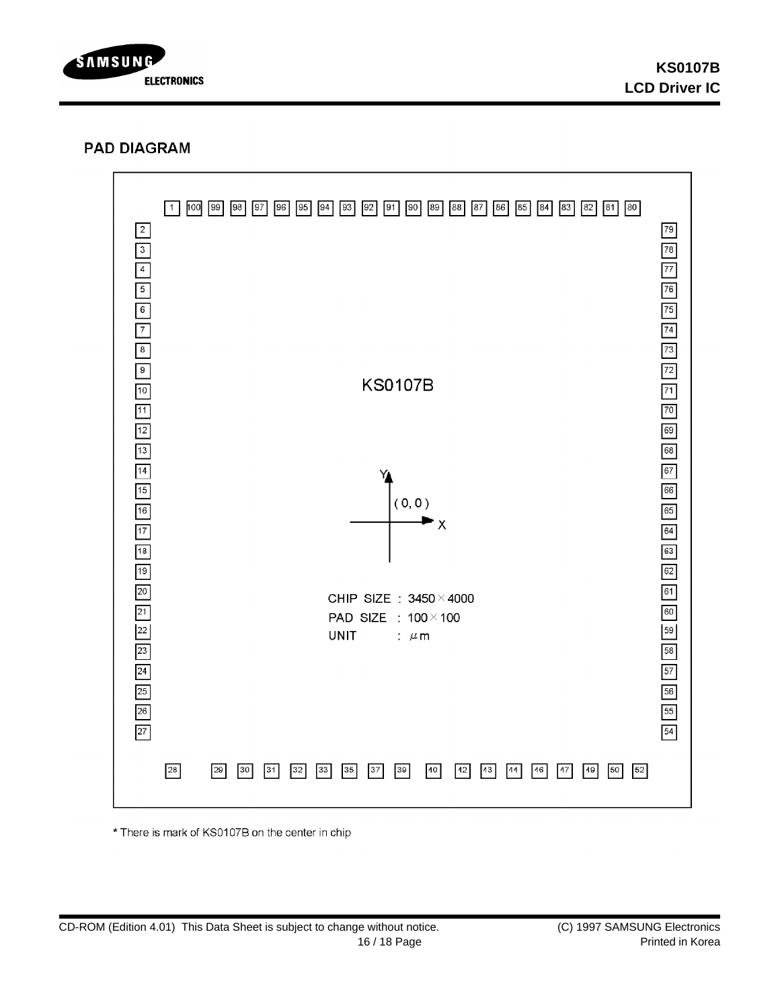

## **PAD DIAGRAM**



\* There is mark of KS0107B on the center in chip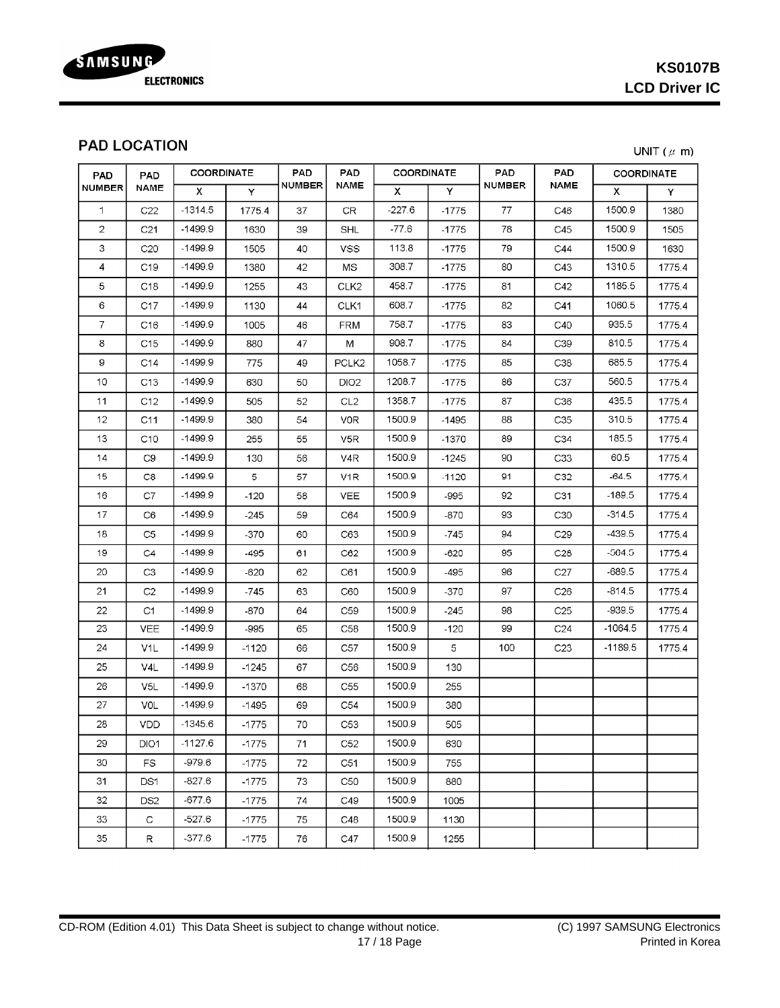

# **PAD LOCATION**

| <b>PAD</b><br><b>NUMBER</b> | PAD<br>NAME      | <b>COORDINATE</b>         |         | <b>PAD</b>    | <b>PAD</b>        | <b>COORDINATE</b> |                | PAD           | <b>PAD</b>      | <b>COORDINATE</b> |        |
|-----------------------------|------------------|---------------------------|---------|---------------|-------------------|-------------------|----------------|---------------|-----------------|-------------------|--------|
|                             |                  | $\boldsymbol{\mathsf{X}}$ | Y       | <b>NUMBER</b> | NAME              | x                 | Y              | <b>NUMBER</b> | NAME            | X.                | Y      |
| 1.                          | C22              | $-1314.5$                 | 1775.4  | 37            | <b>CR</b>         | $-227.6$          | $-1775$        | 77            | C46             | 1500.9            | 1380   |
| $\overline{2}$              | C <sub>21</sub>  | $-1499.9$                 | 1630    | 39            | <b>SHL</b>        | $-77.6$           | $-1775$        | 78            | C45             | 1500.9            | 1505   |
| 3                           | C20              | $-1499.9$                 | 1505    | 40            | <b>VSS</b>        | 113.8             | $-1775$        | 79            | C44             | 1500.9            | 1630   |
| 4                           | C <sub>19</sub>  | $-1499.9$                 | 1380    | 42            | MS                | 308.7             | $-1775$        | 80            | C43             | 1310.5            | 1775.4 |
| 5                           | C <sub>18</sub>  | $-1499.9$                 | 1255    | 43            | CLK <sub>2</sub>  | 458.7             | $-1775$        | 81            | C42             | 1185.5            | 1775.4 |
| 6                           | C17              | $-1499.9$                 | 1130    | 44            | CLK1              | 608.7             | $-1775$        | 82            | C41             | 1060.5            | 1775.4 |
| 7                           | C16              | $-1499.9$                 | 1005    | 46            | <b>FRM</b>        | 758.7             | $-1775$        | 83            | C40             | 935.5             | 1775.4 |
| 8                           | C <sub>15</sub>  | $-1499.9$                 | 880     | 47            | M                 | 908.7             | $-1775$        | 84            | C39             | 810.5             | 1775.4 |
| 9                           | C14              | $-1499.9$                 | 775     | 49            | PCLK <sub>2</sub> | 1058.7            | $-1775$        | 85            | C38             | 685.5             | 1775.4 |
| 10                          | C <sub>13</sub>  | $-1499.9$                 | 630     | 50            | DIO <sub>2</sub>  | 1208.7            | $-1775$        | 86            | C37             | 560.5             | 1775.4 |
| 11                          | C12              | -1499.9                   | 505     | 52            | CL2               | 1358.7            | $-1775$        | 87            | C36             | 435.5             | 1775.4 |
| 12                          | C11              | $-1499.9$                 | 380     | 54            | V0R               | 1500.9            | -1495          | 88            | C35             | 310.5             | 1775.4 |
| 13                          | C10              | $-1499.9$                 | 255     | 55            | V5R               | 1500.9            | $-1370$        | 89            | C34             | 185.5             | 1775.4 |
| 14                          | C <sub>9</sub>   | $-1499.9$                 | 130     | 56            | V4R               | 1500.9            | $-1245$        | 90            | C33             | 60.5              | 1775.4 |
| 15                          | C8               | $-1499.9$                 | 5       | 57            | V1R               | 1500.9            | $-1120$        | 91            | C32             | -64.5             | 1775.4 |
| 16                          | C7               | $-1499.9$                 | $-120$  | 58            | VEE               | 1500.9            | -995           | 92            | C31             | $-189.5$          | 1775.4 |
| 17                          | C6               | $-1499.9$                 | -245    | 59            | C64               | 1500.9            | -870           | 93            | C30             | $-314.5$          | 1775.4 |
| 18                          | C5               | -1499.9                   | -370    | 60            | C63               | 1500.9            | -745           | 94            | C29             | 439.5             | 17754  |
| 19                          | C4               | $-1499.9$                 | -495    | 61            | C62               | 1500.9            | $-620$         | 95            | C28             | $-564.5$          | 1775.4 |
| 20                          | C3               | $-1499.9$                 | -620    | 62            | C61               | 1500.9            | -495           | 96            | C27             | $-689.5$          | 1775.4 |
| 21                          | C2               | $-1499.9$                 | -745    | 63            | C60               | 1500.9            | $-370$         | 97            | C26             | $-814.5$          | 1775.4 |
| 22                          | C1               | $-1499.9$                 | $-870$  | 64            | C59               | 1500.9            | $-245$         | 98            | C <sub>25</sub> | $-939.5$          | 1775.4 |
| 23                          | <b>VEE</b>       | -1499.9                   | -995    | 65            | C58               | 1500.9            | $-120$         | 99            | C <sub>24</sub> | -1064.5           | 1775.4 |
| 24                          | V <sub>1</sub> L | $-1499.9$                 | $-1120$ | 66            | C57               | 1500.9            | $\overline{5}$ | 100           | C <sub>23</sub> | $-1189.5$         | 1775.4 |
| 25                          | V4L              | $-1499.9$                 | $-1245$ | 67            | C56               | 1500.9            | 130            |               |                 |                   |        |
| 26                          | V <sub>5L</sub>  | $-1499.9$                 | $-1370$ | 68            | C55               | 1500.9            | 255            |               |                 |                   |        |
| 27                          | VOL              | $-1499.9$                 | -1495   | 69            | C54               | 1500.9            | 380            |               |                 |                   |        |
| 28                          | <b>VDD</b>       | $-1345.6$                 | $-1775$ | 70            | C53               | 1500.9            | 505            |               |                 |                   |        |
| 29                          | DIO <sub>1</sub> | $-1127.6$                 | $-1775$ | 71            | C52               | 1500.9            | 630            |               |                 |                   |        |
| 30                          | FS.              | $-979.6$                  | $-1775$ | 72            | C51               | 1500.9            | 755            |               |                 |                   |        |
| 31                          | DS1              | $-827.6$                  | $-1775$ | 73            | C50               | 1500.9            | 880            |               |                 |                   |        |
| 32                          | DS <sub>2</sub>  | $-677.6$                  | -1775   | 74            | C49               | 1500.9            | 1005           |               |                 |                   |        |
| 33                          | С                | $-527.6$                  | $-1775$ | 75            | C48               | 1500.9            | 1130           |               |                 |                   |        |
| 35                          | R                | -377.6                    | -1775   | 76            | C47               | 1500.9            | 1255           |               |                 |                   |        |